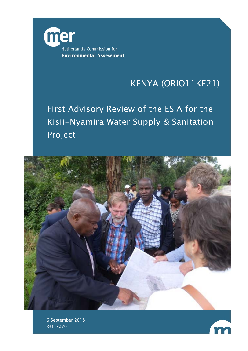

# KENYA (ORIO11KE21)

First Advisory Review of the ESIA for the Kisii-Nyamira Water Supply & Sanitation Project



6 September 2018 Ref: 7270

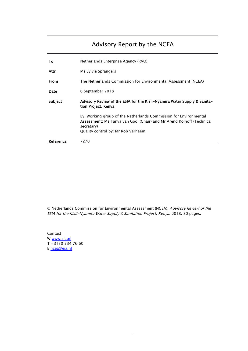## Advisory Report by the NCEA

| Тο        | Netherlands Enterprise Agency (RVO)                                                                                                                                                            |  |
|-----------|------------------------------------------------------------------------------------------------------------------------------------------------------------------------------------------------|--|
| Attn      | Ms Sylvie Sprangers                                                                                                                                                                            |  |
| From      | The Netherlands Commission for Environmental Assessment (NCEA)                                                                                                                                 |  |
| Date      | 6 September 2018                                                                                                                                                                               |  |
| Subject   | Advisory Review of the ESIA for the Kisii-Nyamira Water Supply & Sanita-<br>tion Project, Kenya                                                                                                |  |
|           | By: Working group of the Netherlands Commission for Environmental<br>Assessment: Ms Tanya van Gool (Chair) and Mr Arend Kolhoff (Technical<br>secretary)<br>Quality control by: Mr Rob Verheem |  |
| Reference | 7270                                                                                                                                                                                           |  |

J.

© Netherlands Commission for Environmental Assessment (NCEA). Advisory Review of the ESIA for the Kisii-Nyamira Water Supply & Sanitation Project, Kenya. 2018. 30 pages.

-

Contact W www.eia.nl [T +3130 234 7](mailto:ncea@eia.nl)6 60 E ncea@eia.nl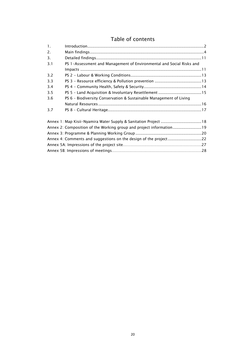## Table of contents

| $\mathbf{1}$ .                                                      |                                                                      |  |  |  |
|---------------------------------------------------------------------|----------------------------------------------------------------------|--|--|--|
| 2.                                                                  |                                                                      |  |  |  |
| 3.                                                                  |                                                                      |  |  |  |
| 3.1                                                                 | PS 1-Assessment and Management of Environmental and Social Risks and |  |  |  |
|                                                                     |                                                                      |  |  |  |
| 3.2                                                                 |                                                                      |  |  |  |
| 3.3                                                                 |                                                                      |  |  |  |
| 3.4                                                                 |                                                                      |  |  |  |
| 3.5                                                                 |                                                                      |  |  |  |
| 3.6                                                                 | PS 6 - Biodiversity Conservation & Sustainable Management of Living  |  |  |  |
|                                                                     |                                                                      |  |  |  |
| 3.7                                                                 |                                                                      |  |  |  |
| Annex 1: Map Kisii-Nyamira Water Supply & Sanitation Project 18     |                                                                      |  |  |  |
| Annex 2: Composition of the Working group and project information19 |                                                                      |  |  |  |
|                                                                     |                                                                      |  |  |  |
| Annex 4: Comments and suggestions on the design of the project22    |                                                                      |  |  |  |
|                                                                     |                                                                      |  |  |  |
|                                                                     |                                                                      |  |  |  |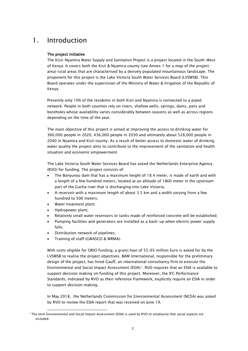## <span id="page-3-0"></span>1. Introduction

### The project initiative

The Kisii-Nyamira Water Supply and Sanitation Project is a project located in the South-West of Kenya. It covers both the Kisii & Nyamira county (see Annex 1 for a map of the project area) rural areas that are characterised by a densely populated mountainous landscape. The proponent for this project is the Lake Victoria South Water Services Board (LVSWSB). This Board operates under the supervision of the Ministry of Water & Irrigation of the Republic of Kenya.

Presently only 10% of the residents in both Kisii and Nyamira is connected to a piped network. People in both counties rely on rivers, shallow wells, springs, dams, pans and boreholes whose availability varies considerably between seasons as well as across regions depending on the time of the year.

The main objective of this project is aimed at improving the access to drinking water for 360,000 people in 2020, 436,000 people in 2030 and ultimately about 528,000 people in 2040 in Nyamira and Kisii county. As a result of better access to domestic water of drinking water quality the project aims to contribute to the improvement of the sanitation and health situation and economic empowerment.

The Lake Victoria South Water Services Board has asked the Netherlands Enterprise Agency (RVO) for funding. The project consists of:

- The Bonyunyu dam that has a maximum height of 18.4 meter, is made of earth and with a length of a few hundred meters, located at an altitude of 1860 meter in the upstream part of the Gucha river that is discharging into Lake Victoria;
- A reservoir with a maximum length of about 3.5 km and a width varying from a few hundred to 500 meters;
- Water treatment plant;
- Hydropower plant;

j

- Relatively small water reservoirs or tanks made of reinforced concrete will be established;
- Pumping facilities and generators are installed as a back-up when electric power supply fails;
- Distribution network of pipelines;
- Training of staff (GWASCO & WRMA).

With costs eligible for ORIO funding, a grant/loan of 55/65 million Euro is asked for by the LVSWSB to realise the project objectives. BAM International, responsible for the preliminary design of the project, has hired Gauff, an international consultancy firm to execute the Environmental and Social Impact Assessment (ESIA)[1.](#page-3-1) RVO requires that an ESIA is available to support decision making on funding of this project. Moreover, the IFC Performance Standards, indicated by RVO as their reference framework, explicitly require an ESIA in order to support decision making.

In May 2018, the Netherlands Commission for Environmental Assessment (NCEA) was asked by RVO to review the ESIA report that was received on June 19.

<span id="page-3-1"></span><sup>1</sup> The term Environmental and Social Impact Assessment (ESIA) is used by RVO to emphasise that social aspects are included.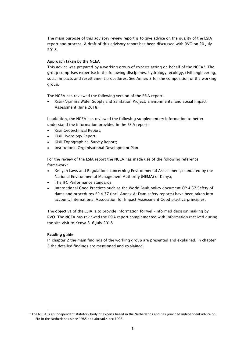The main purpose of this advisory review report is to give advice on the quality of the ESIA report and process. A draft of this advisory report has been discussed with RVO on 20 July 2018.

### Approach taken by the NCEA

This advice was prepared by a working group of experts acting on behalf of the NCEA<sup>[2](#page-4-0)</sup>. The group comprises expertise in the following disciplines: hydrology, ecology, civil engineering, social impacts and resettlement procedures. See Annex 2 for the composition of the working group.

The NCEA has reviewed the following version of the ESIA report:

• Kisii-Nyamira Water Supply and Sanitation Project, Environmental and Social Impact Assessment (June 2018).

In addition, the NCEA has reviewed the following supplementary information to better understand the information provided in the ESIA report:

- Kisii Geotechnical Report;
- Kisii Hydrology Report;
- Kisii Topographical Survey Report;
- Institutional Organisational Development Plan.

For the review of the ESIA report the NCEA has made use of the following reference framework:

- Kenyan Laws and Regulations concerning Environmental Assessment, mandated by the National Environmental Management Authority (NEMA) of Kenya;
- The IFC Performance standards;
- International Good Practices such as the World Bank policy document OP 4.37 Safety of dams and procedures BP 4.37 (incl. Annex A: Dam safety reports) have been taken into account, International Association for Impact Assessment Good practice principles.

The objective of the ESIA is to provide information for well-informed decision making by RVO. The NCEA has reviewed the ESIA report complemented with information received during the site visit to Kenya 3-6 July 2018.

### Reading guide

j

In chapter 2 the main findings of the working group are presented and explained. In chapter 3 the detailed findings are mentioned and explained.

<span id="page-4-0"></span><sup>&</sup>lt;sup>2</sup> The NCEA is an independent statutory body of experts based in the Netherlands and has provided independent advice on EIA in the Netherlands since 1985 and abroad since 1993.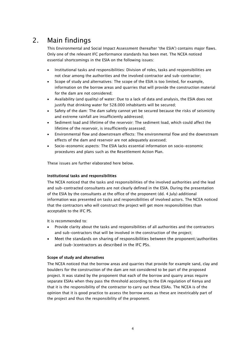## 2. Main findings

<span id="page-5-0"></span>This Environmental and Social Impact Assessment (hereafter 'the ESIA') contains major flaws. Only one of the relevant IFC performance standards has been met. The NCEA noticed essential shortcomings in the ESIA on the following issues:

- Institutional tasks and responsibilities: Division of roles, tasks and responsibilities are not clear among the authorities and the involved contractor and sub-contractor;
- Scope of study and alternatives: The scope of the ESIA is too limited, for example, information on the borrow areas and quarries that will provide the construction material for the dam are not considered;
- Availability (and quality) of water: Due to a lack of data and analysis, the ESIA does not justify that drinking water for 528.000 inhabitants will be secured;
- Safety of the dam: The dam safety cannot yet be secured because the risks of seismicity and extreme rainfall are insufficiently addressed;
- Sediment load and lifetime of the reservoir: The sediment load, which could affect the lifetime of the reservoir, is insufficiently assessed;
- Environmental flow and downstream effects: The environmental flow and the downstream effects of the dam and reservoir are not adequately assessed;
- Socio-economic aspects: The ESIA lacks essential information on socio-economic procedures and plans such as the Resettlement Action Plan.

These issues are further elaborated here below.

### Institutional tasks and responsibilities

The NCEA noticed that the tasks and responsibilities of the involved authorities and the lead and sub-contracted consultants are not clearly defined in the ESIA. During the presentation of the ESIA by the consultants at the office of the proponent (dd. 4 July) additional information was presented on tasks and responsibilities of involved actors. The NCEA noticed that the contractors who will construct the project will get more responsibilities than acceptable to the IFC PS.

It is recommended to:

- Provide clarity about the tasks and responsibilities of all authorities and the contractors and sub-contractors that will be involved in the construction of the project;
- Meet the standards on sharing of responsibilities between the proponent/authorities and (sub-)contractors as described in the IFC PSs.

### Scope of study and alternatives

The NCEA noticed that the borrow areas and quarries that provide for example sand, clay and boulders for the construction of the dam are not considered to be part of the proposed project. It was stated by the proponent that each of the borrow and quarry areas require separate ESIAs when they pass the threshold according to the EIA regulation of Kenya and that it is the responsibility of the contractor to carry out these ESIAs. The NCEA is of the opinion that it is good practice to assess the borrow areas as these are inextricably part of the project and thus the responsibility of the proponent.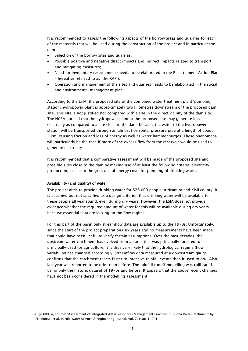It is recommended to assess the following aspects of the borrow areas and quarries for each of the materials that will be used during the construction of the project and in particular the dam:

- Selection of the borrow sites and quarries;
- Possible positive and negative direct impacts and indirect impacts related to transport and mitigating measures;
- Need for involuntary resettlement (needs to be elaborated in the Resettlement Action Plan – hereafter referred to as 'the RAP');
- Operation and management of the sites and quarries needs to be elaborated in the social and environmental management plan.

According to the ESIA, the proposed site of the combined water treatment plant/pumping station/hydropower plant is approximately two kilometres downstream of the proposed dam site. This site is not justified nor compared with a site in the direct vicinity of the dam site. The NCEA noticed that the hydropower plant at the proposed site may generate less electricity as compared to a site close to the dam, because the water to the hydropower station will be transported through an almost horizontal pressure pipe at a length of about 2 km, causing friction and loss of energy as well as water hammer surges. These phenomena will particularly be the case if more of the excess flow from the reservoir would be used to generate electricity.

It is recommended that a comparative assessment will be made of the proposed site and possible sites close to the dam by making use of at least the following criteria: electricity production, access to the grid, use of energy costs for pumping of drinking water.

#### Availability (and quality) of water

j

The project aims to provide drinking water for 528.000 people in Nyamira and Kisii county. It is assumed but not specified as a design criterion that drinking water will be available to these people all year round, even during dry years. However, the ESIA does not provide evidence whether the required amount of water for this will be available during dry years because essential data are lacking on the flow regime.

For this part of the basin only streamflow data are available up to the 1970s. Unfortunately, since the start of the project preparations six years ago no measurements have been made that could have been useful to verify certain assumptions. Over the past decades, the upstream water catchment has evolved from an area that was principally forested to principally used for agriculture. It is thus very likely that the hydrological regime (flow variability) has changed accordingly. Streamflow data measured at a downstream gauge confirms that the catchment reacts faster to intensive rainfall events than it used to do<sup>3</sup>. Also, last year was reported to be drier than before. The rainfall runoff modelling was calibrated using only the historic dataset of 1970s and before. It appears that the above recent changes have not been considered in the modelling assessment.

<span id="page-6-0"></span><sup>3</sup> Gauge KB01A, source: "Assessment of Integrated Water Resources Management Practices in Gucha River Catchment" by PN Muiruri et al, in Nile Water Science & Engineering Journal, Vol. 7, Issue 1, 2014.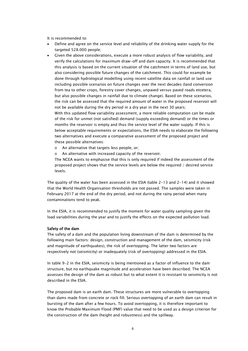It is recommended to:

- Define and agree on the service level and reliability of the drinking water supply for the targeted 528.000 people;
- Given the above considerations, execute a more robust analysis of flow variability, and verify the calculations for maximum draw-off and dam capacity. It is recommended that this analysis is based on the current situation of the catchment in terms of land use, but also considering possible future changes of the catchment. This could for example be done through hydrological modelling using recent satellite data on rainfall or land use including possible scenarios on future changes over the next decades (land conversion from tea to other crops, forestry cover changes, unpaved versus paved roads etcetera, but also possible changes in rainfall due to climate change). Based on these scenarios, the risk can be assessed that the required amount of water in the proposed reservoir will not be available during the dry period in a dry year in the next 30 years; With this updated flow variability assessment, a more reliable computation can be made of the risk for unmet (not satisfied) demand (supply exceeding demand) or the times or months the reservoir is empty and thus the service level of the water supply. If this is below acceptable requirements or expectations, the ESIA needs to elaborate the following two alternatives and execute a comparative assessment of the proposed project and these possible alternatives:
	- o An alternative that targets less people, or;
	- o An alternative with increased capacity of the reservoir.

The NCEA wants to emphasise that this is only required if indeed the assessment of the proposed project shows that the service levels are below the required / desired service levels.

The quality of the water has been assessed in the ESIA (table 2-13 and 2-14) and it showed that the World Health Organisation thresholds are not passed. The samples were taken in February 2017 at the end of the dry period, and not during the rainy period when many contaminations tend to peak.

In the ESIA, it is recommended to justify the moment for water quality sampling given the load variabilities during the year and to justify the effects on the expected pollution load.

#### Safety of the dam

The safety of a dam and the population living downstream of the dam is determined by the following main factors: design, construction and management of the dam, seismicity (risk and magnitude of earthquakes), the risk of overtopping. The latter two factors are respectively not (seismicity) or inadequately (risk of overtopping) addressed in the ESIA.

In table 9-2 in the ESIA, seismicity is being mentioned as a factor of influence to the dam structure, but no earthquake magnitude and acceleration have been described. The NCEA assesses the design of the dam as robust but to what extent it is resistant to seismicity is not described in the ESIA.

The proposed dam is an earth dam. These structures are more vulnerable to overtopping than dams made from concrete or rock fill. Serious overtopping of an earth dam can result in bursting of the dam after a few hours. To avoid overtopping, it is therefore important to know the Probable Maximum Flood (PMF) value that need to be used as a design criterion for the construction of the dam (height and robustness) and the spillway.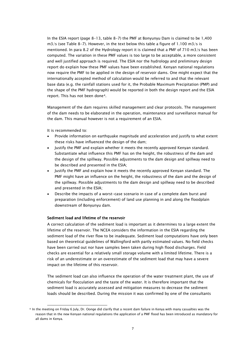In the ESIA report (page 8-13, table 8-7) the PMF at Bonyunyu Dam is claimed to be 1,400  $m3/s$  (see Table 8-7). However, in the text below this table a figure of 1.100 m3/s is mentioned. In para 8.2 of the Hydrology report it is claimed that a PMF of 710 m3/s has been computed. The variation in these PMF values is too large to be acceptable, a more consistent and well justified approach is required. The ESIA nor the hydrology and preliminary design report do explain how these PMF values have been established. Kenyan national regulations now require the PMF to be applied in the design of reservoir dams. One might expect that the internationally accepted method of calculation would be referred to and that the relevant base data (e.g. the rainfall stations used for it, the Probable Maximum Precipitation (PMP) and the shape of the PMF hydrograph) would be reported in both the design report and the ESIA report. This has not been done[4.](#page-8-0)

Management of the dam requires skilled management and clear protocols. The management of the dam needs to be elaborated in the operation, maintenance and surveillance manual for the dam. This manual however is not a requirement of an ESIA.

It is recommended to:

j

- Provide information on earthquake magnitude and acceleration and justify to what extent these risks have influenced the design of the dam;
- Justify the PMF and explain whether it meets the recently approved Kenyan standard. Substantiate what influence this PMF has on the height, the robustness of the dam and the design of the spillway. Possible adjustments to the dam design and spillway need to be described and presented in the ESIA;
- Justify the PMF and explain how it meets the recently approved Kenyan standard. The PMF might have an influence on the height, the robustness of the dam and the design of the spillway. Possible adjustments to the dam design and spillway need to be described and presented in the ESIA;
- Describe the impacts of a worst-case scenario in case of a complete dam burst and preparation (including enforcement) of land use planning in and along the floodplain downstream of Bonyunyu dam.

#### Sediment load and lifetime of the reservoir

A correct calculation of the sediment load is important as it determines to a large extent the lifetime of the reservoir. The NCEA considers the information in the ESIA regarding the sediment load of the river flow to be inadequate. Sediment load computations have only been based on theoretical guidelines of Wallingford with partly estimated values. No field checks have been carried out nor have samples been taken during high flood discharges. Field checks are essential for a relatively small storage volume with a limited lifetime. There is a risk of an underestimate or an overestimate of the sediment load that may have a severe impact on the lifetime of this reservoir.

The sediment load can also influence the operation of the water treatment plant, the use of chemicals for flocculation and the taste of the water. It is therefore important that the sediment load is accurately assessed and mitigation measures to decrease the sediment loads should be described. During the mission it was confirmed by one of the consultants

<span id="page-8-0"></span><sup>4</sup> In the meeting on Friday 6 July, Dr. Oonge did clarify that a recent dam failure in Kenya with many casualties was the reason that in the new Kenyan national regulations the application of a PMF flood has been introduced as mandatory for all dams in Kenya.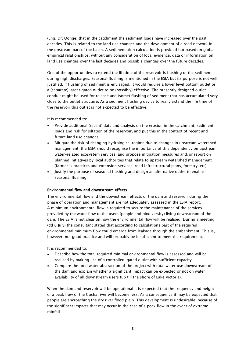(Eng. Dr. Oonge) that in the catchment the sediment loads have increased over the past decades. This is related to the land use changes and the development of a road network in the upstream part of the basin. A sedimentation calculation is provided but based on global empirical relationships, without any consideration of local evidence, data or information on land use changes over the last decades and possible changes over the future decades.

One of the opportunities to extend the lifetime of the reservoir is flushing of the sediment during high discharges. Seasonal flushing is mentioned in the ESIA but its purpose is not well justified. If flushing of sediment is envisaged, it would require a lower level bottom outlet or a (separate) larger gated outlet to be (possibly) effective. The presently designed outlet conduit might be used for release and (some) flushing of sediment that has accumulated very close to the outlet structure. As a sediment flushing device to really extend the life time of the reservoir this outlet is not expected to be effective.

It is recommended to:

- Provide additional (recent) data and analysis on the erosion in the catchment, sediment loads and risk for siltation of the reservoir, and put this in the context of recent and future land use changes;
- Mitigate the risk of changing hydrological regime due to changes in upstream watershed management, the ESIA should recognise the importance of this dependency on upstream water-related ecosystem services, and propose mitigation measures and/or report on planned initiatives by local authorities that relate to upstream watershed management (farmer´s practices and extension services, road infrastructural plans, forestry, etc);
- Justify the purpose of seasonal flushing and design an alternative outlet to enable seasonal flushing.

#### Environmental flow and downstream effects

The environmental flow and the downstream effects of the dam and reservoir during the phase of operation and management are not adequately assessed in the ESIA report. A minimum environmental flow is required to secure the maintenance of the services provided by the water flow to the users (people and biodiversity) living downstream of the dam. The ESIA is not clear on how the environmental flow will be realised. During a meeting (dd 6 July) the consultant stated that according to calculations part of the required environmental minimum flow could emerge from leakage through the embankment. This is, however, not good practice and will probably be insufficient to meet the requirement.

It is recommended to:

- Describe how the total required minimal environmental flow is assessed and will be realised by making use of a controlled, gated outlet with sufficient capacity;
- Compare the total water abstraction of the project with total water use downstream of the dam and explain whether a significant impact can be expected or not on water availability of all downstream users (up till the shore of Lake Victoria).

When the dam and reservoir will be operational it is expected that the frequency and height of a peak flow of the Gucha river will become less. As a consequence it may be expected that people are encroaching the dry river flood plain. This development is undesirable, because of the significant impacts that may occur in the case of a peak flow in the event of extreme rainfall.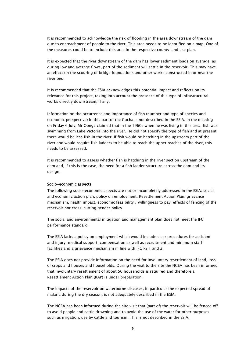It is recommended to acknowledge the risk of flooding in the area downstream of the dam due to encroachment of people to the river. This area needs to be identified on a map. One of the measures could be to include this area in the respective county land use plan.

It is expected that the river downstream of the dam has lower sediment loads on average, as during low and average flows, part of the sediment will settle in the reservoir. This may have an effect on the scouring of bridge foundations and other works constructed in or near the river bed.

It is recommended that the ESIA acknowledges this potential impact and reflects on its relevance for this project, taking into account the presence of this type of infrastructural works directly downstream, if any.

Information on the occurrence and importance of fish (number and type of species and economic perspective) in this part of the Gucha is not described in the ESIA. In the meeting on Friday 6 July, Mr Oonge claimed that in the 1960s when he was living in this area, fish was swimming from Lake Victoria into the river. He did not specify the type of fish and at present there would be less fish in the river. If fish would be hatching in the upstream part of the river and would require fish ladders to be able to reach the upper reaches of the river, this needs to be assessed.

It is recommended to assess whether fish is hatching in the river section upstream of the dam and, if this is the case, the need for a fish ladder structure across the dam and its design.

#### Socio-economic aspects

The following socio-economic aspects are not or incompletely addressed in the ESIA: social and economic action plan, policy on employment, Resettlement Action Plan, grievance mechanism, health impact, economic feasibility / willingness to pay, effects of fencing of the reservoir nor cross-cutting gender policy.

The social and environmental mitigation and management plan does not meet the IFC performance standard.

The ESIA lacks a policy on employment which would include clear procedures for accident and injury, medical support, compensation as well as recruitment and minimum staff facilities and a grievance mechanism in line with IFC PS 1 and 2.

The ESIA does not provide information on the need for involuntary resettlement of land, loss of crops and houses and households. During the visit to the site the NCEA has been informed that involuntary resettlement of about 50 households is required and therefore a Resettlement Action Plan (RAP) is under preparation.

The impacts of the reservoir on waterborne diseases, in particular the expected spread of malaria during the dry season, is not adequately described in the ESIA.

The NCEA has been informed during the site visit that (part of) the reservoir will be fenced off to avoid people and cattle drowning and to avoid the use of the water for other purposes such as irrigation, use by cattle and tourism. This is not described in the ESIA.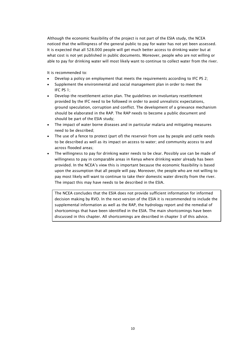Although the economic feasibility of the project is not part of the ESIA study, the NCEA noticed that the willingness of the general public to pay for water has not yet been assessed. It is expected that all 528.000 people will get much better access to drinking water but at what cost is not yet published in public documents. Moreover, people who are not willing or able to pay for drinking water will most likely want to continue to collect water from the river.

It is recommended to:

- Develop a policy on employment that meets the requirements according to IFC PS 2;
- Supplement the environmental and social management plan in order to meet the IFC PS 1;
- Develop the resettlement action plan. The guidelines on involuntary resettlement provided by the IFC need to be followed in order to avoid unrealistic expectations, ground speculation, corruption and conflict. The development of a grievance mechanism should be elaborated in the RAP. The RAP needs to become a public document and should be part of the ESIA study;
- The impact of water borne diseases and in particular malaria and mitigating measures need to be described;
- The use of a fence to protect (part of) the reservoir from use by people and cattle needs to be described as well as its impact on access to water; and community access to and across flooded areas;
- The willingness to pay for drinking water needs to be clear. Possibly use can be made of willingness to pay in comparable areas in Kenya where drinking water already has been provided. In the NCEA's view this is important because the economic feasibility is based upon the assumption that all people will pay. Moreover, the people who are not willing to pay most likely will want to continue to take their domestic water directly from the river. The impact this may have needs to be described in the ESIA.

The NCEA concludes that the ESIA does not provide sufficient information for informed decision making by RVO. In the next version of the ESIA it is recommended to include the supplemental information as well as the RAP, the hydrology report and the remedial of shortcomings that have been identified in the ESIA. The main shortcomings have been discussed in this chapter. All shortcomings are described in chapter 3 of this advice.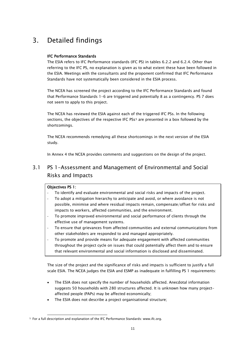## <span id="page-12-0"></span>3. Detailed findings

## IFC Performance Standards

The ESIA refers to IFC Performance standards (IFC PS) in tables 6.2.2 and 6.2.4. Other than referring to the IFC PS, no explanation is given as to what extent these have been followed in the ESIA. Meetings with the consultants and the proponent confirmed that IFC Performance Standards have not systematically been considered in the ESIA process.

The NCEA has screened the project according to the IFC Performance Standards and found that Performance Standards 1-6 are triggered and potentially 8 as a contingency. PS 7 does not seem to apply to this project.

The NCEA has reviewed the ESIA against each of the triggered IFC PSs. In the following sections, the objectives of the respective IFC PSs<sup>[5](#page-12-2)</sup> are presented in a box followed by the shortcomings.

The NCEA recommends remedying all these shortcomings in the next version of the ESIA study.

In Annex 4 the NCEA provides comments and suggestions on the design of the project.

## <span id="page-12-1"></span>3.1 PS 1-Assessment and Management of Environmental and Social Risks and Impacts

## Objectives PS 1:

 $\overline{a}$ 

- To identify and evaluate environmental and social risks and impacts of the project.
- To adopt a mitigation hierarchy to anticipate and avoid, or where avoidance is not possible, minimise and where residual impacts remain, compensate/offset for risks and impacts to workers, affected communities, and the environment.
- To promote improved environmental and social performance of clients through the effective use of management systems.
- To ensure that grievances from affected communities and external communications from other stakeholders are responded to and managed appropriately.
- To promote and provide means for adequate engagement with affected communities throughout the project cycle on issues that could potentially affect them and to ensure that relevant environmental and social information is disclosed and disseminated.

The size of the project and the significance of risks and impacts is sufficient to justify a full scale ESIA. The NCEA judges the ESIA and ESMP as inadequate in fulfilling PS 1 requirements:

- The ESIA does not specify the number of households affected. Anecdotal information suggests 50 households with 280 structures affected. It is unknown how many projectaffected people (PAPs) may be affected economically;
- The ESIA does not describe a project organisational structure;

<span id="page-12-2"></span><sup>5</sup> For a full description and explanation of the IFC Performance Standards: www.ifc.org.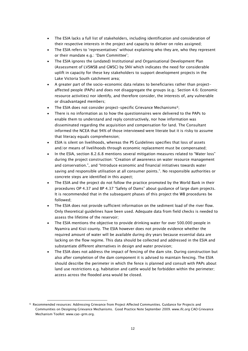- The ESIA lacks a full list of stakeholders, including identification and consideration of their respective interests in the project and capacity to deliver on roles assigned;
- The ESIA refers to 'representatives' without explaining who they are, who they represent or their mandate e.g.: 'Dam Committee';
- The ESIA ignores the (undated) Institutional and Organisational Development Plan (Assessment of LVSWSB and GWSC) by SNV which indicates the need for considerable uplift in capacity for these key stakeholders to support development projects in the Lake Victoria South catchment area;
- A greater part of the socio-economic data relates to beneficiaries rather than projectaffected people (PAPs) and does not disaggregate the groups (e.g.: Section 4.6: Economic resource activities) nor identify, and therefore consider, the interests of, any vulnerable or disadvantaged members;
- The ESIA does not consider project-specific Grievance Mechanisms<sup>[6](#page-13-0)</sup>;
- There is no information as to how the questionnaires were delivered to the PAPs to enable them to understand and reply constructively, nor how information was disseminated regarding the acquisition and compensation for land. The Consultant informed the NCEA that 94% of those interviewed were literate but it is risky to assume that literacy equals comprehension;
- ESIA is silent on livelihoods, whereas the PS Guidelines specifies that loss of assets and/or means of livelihoods through economic replacement must be compensated;
- In the ESIA, section 8.2.6.8 mentions several mitigation measures related to "Water loss" during the project construction: "Creation of awareness on water resource management and conservation.", and "Introduce economic and financial initiatives towards water saving and responsible utilisation at all consumer points.". No responsible authorities or concrete steps are identified in this aspect;
- The ESIA and the project do not follow the practice promoted by the World Bank in their procedures OP 4.37 and BP 4.37 "Safety of Dams" about guidance of large dam projects. It is recommended that in the subsequent phases of this project the WB procedures be followed;
- The ESIA does not provide sufficient information on the sediment load of the river flow. Only theoretical guidelines have been used. Adequate data from field checks is needed to assess the lifetime of the reservoir;
- The ESIA mentions the objective to provide drinking water for over 500.000 people in Nyamira and Kisii county. The ESIA however does not provide evidence whether the required amount of water will be available during dry years because essential data are lacking on the flow regime. This data should be collected and addressed in the ESIA and substantiate different alternatives in design and water provision;
- The ESIA does not address the impact of fencing of the dam site. During construction but also after completion of the dam component it is advised to maintain fencing. The ESIA should describe the perimeter in which the fence is planned and consult with PAPs about land use restrictions e.g. habitation and cattle would be forbidden within the perimeter; access across the flooded area would be closed.

 $\overline{a}$ 

<span id="page-13-0"></span><sup>6</sup> Recommended resources: Addressing Grievance from Project Affected Communities. Guidance for Projects and Communities on Designing Grievance Mechanis[ms. Good Practice N](http://www.cao-grm.org/)ote September 2009. www.ifc.org CAO [Grievance](http://www.ifc.org/)  Mechanism Toolkit: www.cao-grm.org.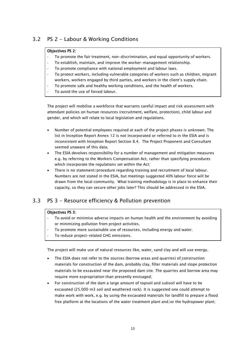## <span id="page-14-0"></span>3.2 PS 2 - Labour & Working Conditions

## Objectives PS 2:

- To promote the fair treatment, non-discrimination, and equal opportunity of workers.
- To establish, maintain, and improve the worker-management relationship.
- To promote compliance with national employment and labour laws.
- To protect workers, including vulnerable categories of workers such as children, migrant workers, workers engaged by third parties, and workers in the client's supply chain.
- To promote safe and healthy working conditions, and the health of workers.
- To avoid the use of forced labour.

The project will mobilise a workforce that warrants careful impact and risk assessment with attendant policies on human resources (recruitment, welfare, protection), child labour and gender, and which will relate to local legislation and regulations.

- Number of potential employees required at each of the project phases is unknown. The list in Inception Report Annex 12 is not incorporated or referred to in the ESIA and is inconsistent with Inception Report Section 8.4. The Project Proponent and Consultant seemed unaware of this data;
- The ESIA devolves responsibility for a number of management and mitigation measures e.g. by referring to the Workers Compensation Act, rather than specifying procedures which incorporate the regulations set within the Act;
- There is no statement/procedure regarding training and recruitment of local labour. Numbers are not stated in the ESIA, but meetings suggested 40% labour force will be drawn from the local community. What training methodology is in place to enhance their capacity, so they can secure other jobs later? This should be addressed in the ESIA.

## <span id="page-14-1"></span>3.3 PS 3 - Resource efficiency & Pollution prevention

### Objectives PS 3:

- To avoid or minimise adverse impacts on human health and the environment by avoiding or minimizing pollution from project activities.
- To promote more sustainable use of resources, including energy and water.
- To reduce project-related GHG emissions.

The project will make use of natural resources like, water, sand clay and will use energy.

- The ESIA does not refer to the sources (borrow areas and quarries) of construction materials for construction of the dam, probably clay, filter materials and slope protection materials to be excavated near the proposed dam site. The quarries and borrow area may require more expropriation than presently envisaged;
- For construction of the dam a large amount of topsoil and subsoil will have to be excavated (25.000 m3 soil and weathered rock). It is suggested one could attempt to make work with work, e.g. by using the excavated materials for landfill to prepare a flood free platform at the locations of the water treatment plant and/or the hydropower plant;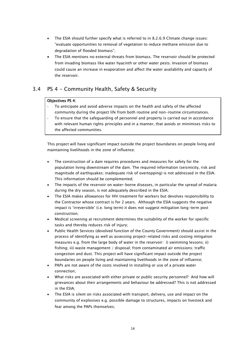- The ESIA should further specify what is referred to in 8.2.6.9 Climate change issues: "evaluate opportunities to removal of vegetation to reduce methane emission due to degradation of flooded biomass";
- The ESIA mentions no external threats from biomass. The reservoir should be protected from invading biomass like water hyacinth or other water pests. Invasion of biomass could cause an increase in evaporation and affect the water availability and capacity of the reservoir.

## <span id="page-15-0"></span>3.4 PS 4 - Community Health, Safety & Security

### Objectives PS 4:

- To anticipate and avoid adverse impacts on the health and safety of the affected community during the project life from both routine and non-routine circumstances.
- To ensure that the safeguarding of personnel and property is carried out in accordance with relevant human rights principles and in a manner, that avoids or minimises risks to the affected communities.

This project will have significant impact outside the project boundaries on people living and maintaining livelihoods in the zone of influence.

- The construction of a dam requires procedures and measures for safety for the population living downstream of the dam. The required information (seismicity, risk and magnitude of earthquakes; inadequate risk of overtopping) is not addressed in the ESIA. This information should be complemented;
- The impacts of the reservoir on water-borne diseases, in particular the spread of malaria during the dry season, is not adequately described in the ESIA;
- The ESIA makes allowances for HIV treatment for workers but devolves responsibility to the Contractor whose contract is for 2 years. Although the ESIA suggests the negative impact is 'irreversible' (i.e. long term) it does not suggest mitigation long-term post construction;
- Medical screening at recruitment determines the suitability of the worker for specific tasks and thereby reduces risk of injury;
- Public Health Services (devolved function of the County Government) should assist in the process of identifying as well as assessing project-related risks and costing mitigation measures e.g. from the large body of water in the reservoir: i) swimming lessons; ii) fishing; iii) waste management / disposal; from contaminated air emissions; traffic congestion and dust. This project will have significant impact outside the project boundaries on people living and maintaining livelihoods in the zone of influence;
- PAPs are not aware of the costs involved in installing or use of a private water connection;
- What risks are associated with either private or public security personnel? And how will grievances about their arrangements and behaviour be addressed? This is not addressed in the ESIA;
- The ESIA is silent on risks associated with transport, delivery, use and impact on the community of explosives e.g. possible damage to structures, impacts on livestock and fear among the PAPs themselves;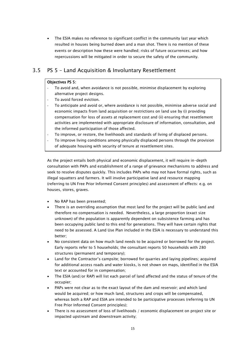• The ESIA makes no reference to significant conflict in the community last year which resulted in houses being burned down and a man shot. There is no mention of these events or description how these were handled; risks of future occurrences; and how repercussions will be mitigated in order to secure the safety of the community.

## <span id="page-16-0"></span>3.5 PS 5 – Land Acquisition & Involuntary Resettlement

### Objectives PS 5:

- To avoid and, when avoidance is not possible, minimise displacement by exploring alternative project designs.
- To avoid forced eviction.
- To anticipate and avoid or, where avoidance is not possible, minimise adverse social and economic impacts from land acquisition or restrictions on land use by (i) providing compensation for loss of assets at replacement cost and (ii) ensuring that resettlement activities are implemented with appropriate disclosure of information, consultation, and the informed participation of those affected.
- To improve, or restore, the livelihoods and standards of living of displaced persons.
- To improve living conditions among physically displaced persons through the provision of adequate housing with security of tenure at resettlement sites.

As the project entails both physical and economic displacement, it will require in-depth consultation with PAPs and establishment of a range of grievance mechanisms to address and seek to resolve disputes quickly. This includes PAPs who may not have formal rights, such as illegal squatters and farmers. It will involve participative land and resource mapping (referring to UN Free Prior Informed Consent principles) and assessment of effects: e.g. on houses, stores, graves.

- No RAP has been presented;
- There is an overriding assumption that most land for the project will be public land and therefore no compensation is needed. Nevertheless, a large proportion (exact size unknown) of the population is apparently dependent on subsistence farming and has been occupying public land to this end for generations. They will have certain rights that need to be assessed. A Land Use Plan included in the ESIA is necessary to understand this better;
- No consistent data on how much land needs to be acquired or borrowed for the project. Early reports refer to 5 households; the consultant reports 50 households with 280 structures (permanent and temporary);
- Land for the Contractor's campsite; borrowed for quarries and laying pipelines; acquired for additional access roads and water kiosks, is not shown on maps, identified in the ESIA text or accounted for in compensation;
- The ESIA (and/or RAP) will list each parcel of land affected and the status of tenure of the occupier;
- PAPs were not clear as to the exact layout of the dam and reservoir; and which land would be acquired; or how much land, structures and crops will be compensated, whereas both a RAP and ESIA are intended to be participative processes (referring to UN Free Prior Informed Consent principles);
- There is no assessment of loss of livelihoods / economic displacement on project site or impacted upstream and downstream activity;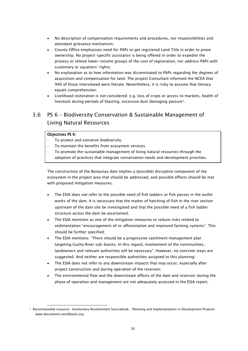- No description of compensation requirements and procedures, nor responsibilities and attendant grievance mechanism;
- County Office emphasises need for PAPs to get registered Land Title in order to prove ownership. No project-specific assistance is being offered in order to expedite the process or relieve lower-income groups of the cost of registration, nor address PAPs with customary or squatters' rights;
- No explanation as to how information was disseminated to PAPs regarding the degrees of acquisition and compensation for land. The project Consultant informed the NCEA that 94% of those interviewed were literate. Nevertheless, it is risky to assume that literacy equals comprehension;
- Livelihood restoration is not considered: e.g. loss of crops or access to markets, health of livestock during periods of blasting, excessive dust damaging pasture[7](#page-17-1).

## <span id="page-17-0"></span>3.6 PS 6 – Biodiversity Conservation & Sustainable Management of Living Natural Resources

## Objectives PS 6:

j

- To protect and conserve biodiversity.
- To maintain the benefits from ecosystem services.
- To promote the sustainable management of living natural resources through the adoption of practices that integrate conservation needs and development priorities.

The construction of the Bonyunya dam implies a (possible) disruptive component of the ecosystem in the project area that should be addressed, and possible effects should be met with proposed mitigation measures.

- The ESIA does not refer to the possible need of fish ladders or fish passes in the outlet works of the dam. It is necessary that the matter of hatching of fish in the river section upstream of the dam site be investigated and that the possible need of a fish ladder structure across the dam be ascertained;
- The ESIA mentions as one of the mitigation measures to reduce risks related to sedimentation "encouragement of re-afforestation and improved farming systems". This should be further specified;
- The ESIA mentions: "There should be a progressive catchment management plan targeting Gucha River sub-basins. In this regard, involvement of the communities, landowners and relevant authorities will be necessary". However, no concrete steps are suggested. And neither are responsible authorities assigned to this planning;
- The ESIA does not refer to any downstream impacts that may occur, especially after project construction and during operation of the reservoir;
- The environmental flow and the downstream effects of the dam and reservoir during the phase of operation and management are not adequately assessed in the ESIA report;

<span id="page-17-1"></span><sup>7</sup> Recommended resource: Involuntary Resettlement Sourcebook – Planning and Implementation in Development Projects: www.document[s.worldbank.org.](http://www.documents.worldbank.org/)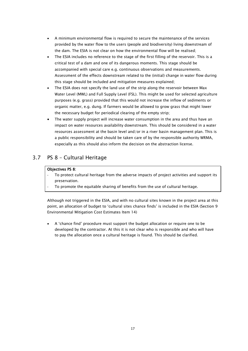- A minimum environmental flow is required to secure the maintenance of the services provided by the water flow to the users (people and biodiversity) living downstream of the dam. The ESIA is not clear on how the environmental flow will be realised;
- The ESIA includes no reference to the stage of the first filling of the reservoir. This is a critical test of a dam and one of its dangerous moments. This stage should be accompanied with special care e.g. continuous observations and measurements. Assessment of the effects downstream related to the (initial) change in water flow during this stage should be included and mitigation measures explained;
- The ESIA does not specify the land use of the strip along the reservoir between Max Water Level (MWL) and Full Supply Level (FSL). This might be used for selected agriculture purposes (e.g. grass) provided that this would not increase the inflow of sediments or organic matter, e.g. dung. If farmers would be allowed to grow grass that might lower the necessary budget for periodical clearing of the empty strip;
- The water supply project will increase water consumption in the area and thus have an impact on water resources availability downstream. This should be considered in a water resources assessment at the basin level and/or in a river basin management plan. This is a public responsibility and should be taken care of by the responsible authority WRMA, especially as this should also inform the decision on the abstraction license.

## <span id="page-18-0"></span>3.7 PS 8 – Cultural Heritage

## Objectives PS 8:

- To protect cultural heritage from the adverse impacts of project activities and support its preservation.
- To promote the equitable sharing of benefits from the use of cultural heritage.

Although not triggered in the ESIA, and with no cultural sites known in the project area at this point, an allocation of budget to 'cultural sites chance finds' is included in the ESIA (Section 9 Environmental Mitigation Cost Estimates Item 14)

• A 'chance find' procedure must support the budget allocation or require one to be developed by the contractor. At this it is not clear who is responsible and who will have to pay the allocation once a cultural heritage is found. This should be clarified.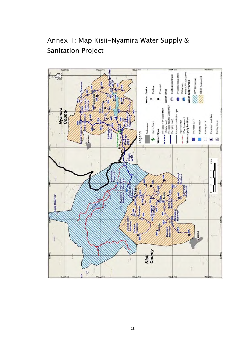

<span id="page-19-0"></span>Annex 1: Map Kisii-Nyamira Water Supply & Sanitation Project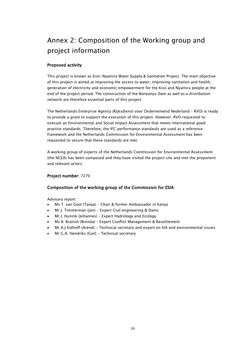# <span id="page-20-0"></span>Annex 2: Composition of the Working group and project information

## Proposed activity

This project is known as Kisii-Nyamira Water Supply & Sanitation Project. The main objective of this project is aimed at improving the access to water, improving sanitation and health, generation of electricity and economic empowerment for the Kisii and Nyamira people at the end of the project period. The construction of the Bonyunyu Dam as well as a distribution network are therefore essential parts of this project.

The Netherlands Enterprise Agency (Rijksdienst voor Ondernemend Nederland – RVO) is ready to provide a grant to support the execution of this project. However, RVO requested to execute an Environmental and Social Impact Assessment that meets international good practice standards. Therefore, the IFC performance standards are used as a reference framework and the Netherlands Commission for Environmental Assessment has been requested to secure that these standards are met.

A working group of experts of the Netherlands Commission for Environmental Assessment (the NCEA) has been composed and they have visited the project site and met the proponent and relevant actors.

## Project number: 7270

## Composition of the working group of the Commission for ESIA

Advisory report:

- Ms T. van Gool (Tanya) Chair & former Ambassador in Kenya
- Mr J. Timmerman (Jan) Expert Civil engineering & Dams
- Mr J. Hunink (Johannes) Expert Hydrology and Ecology
- Ms B. Brainch (Brenda) Expert Conflict Management & Resettlement
- Mr A.J Kolhoff (Arend) Technical secretary and expert on EIA and environmental issues
- Mr G.A. Hendriks (Giel) Technical secretary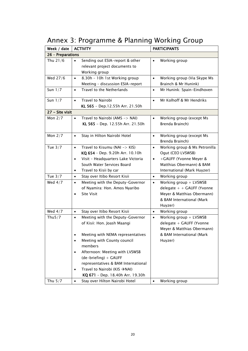<span id="page-21-0"></span>

| Annex 3: Programme & Planning Working Group |  |  |  |  |
|---------------------------------------------|--|--|--|--|
|---------------------------------------------|--|--|--|--|

| Week / date<br><b>ACTIVITY</b> |                                                                                                                                                                | <b>PARTICIPANTS</b>                                                                                                                                                     |  |  |  |  |  |
|--------------------------------|----------------------------------------------------------------------------------------------------------------------------------------------------------------|-------------------------------------------------------------------------------------------------------------------------------------------------------------------------|--|--|--|--|--|
| 26 - Preparations              |                                                                                                                                                                |                                                                                                                                                                         |  |  |  |  |  |
| Thu 21/6                       | Sending out ESIA-report & other<br>$\bullet$<br>relevant project documents to<br>Working group                                                                 | Working group<br>$\bullet$                                                                                                                                              |  |  |  |  |  |
| Wed 27/6                       | 8.30h - 10h 1st Working group<br>$\bullet$<br>Meeting - discussion ESIA-report                                                                                 | Working group (Via Skype Ms<br>$\bullet$<br>Brainch & Mr Hunink)                                                                                                        |  |  |  |  |  |
| Sun $1/7$                      | Travel to the Netherlands<br>$\bullet$                                                                                                                         | Mr Hunink: Spain-Eindhoven<br>$\bullet$                                                                                                                                 |  |  |  |  |  |
| Sun $1/7$                      | <b>Travel to Nairobi</b><br>$\bullet$<br>KL 565 - Dep.12.55h Arr. 21.50h                                                                                       | Mr Kolhoff & Mr Hendriks<br>$\bullet$                                                                                                                                   |  |  |  |  |  |
| 27 - Site visit                |                                                                                                                                                                |                                                                                                                                                                         |  |  |  |  |  |
| Mon $2/7$                      | Travel to Nairobi (AMS -> NAI)<br>$\bullet$<br>KL 565 - Dep. 12.55h Arr. 21.50h                                                                                | Working group (except Ms<br>$\bullet$<br>Brenda Brainch)                                                                                                                |  |  |  |  |  |
| Mon $2/7$                      | Stay in Hilton Nairobi Hotel<br>$\bullet$                                                                                                                      | Working group (except Ms<br>$\bullet$<br>Brenda Brainch)                                                                                                                |  |  |  |  |  |
| Tue $3/7$                      | Travel to Kisumu (NAI -> KIS)<br>$\bullet$<br>KQ 654 - Dep. 9.20h Arr. 10.10h<br>Visit - Headquarters Lake Victoria<br>$\bullet$<br>South Water Services Board | Working group & Ms Petronilla<br>$\bullet$<br>Ogut (CEO LVSWSB)<br>+GAUFF (Yvonne Meyer &<br>$\bullet$<br>Matthias Obermann) & BAM                                      |  |  |  |  |  |
|                                | Travel to Kisii by car<br>$\bullet$                                                                                                                            | International (Mark Huyzer)                                                                                                                                             |  |  |  |  |  |
| Tue $3/7$<br>Wed $4/7$         | Stay over Itibo Resort Kisii<br>$\bullet$<br>Meeting with the Deputy-Governor<br>$\bullet$<br>of Nyamira: Hon. Amos Nyaribo<br><b>Site Visit</b>               | Working group<br>$\bullet$<br>Working group + LVSWSB<br>$\bullet$<br>delegate $+$ + GAUFF (Yvonne<br>Meyer & Matthias Obermann)<br>& BAM International (Mark<br>Huyzer) |  |  |  |  |  |
| Wed $4/7$                      | Stay over Itibo Resort Kisii<br>$\bullet$                                                                                                                      | Working group<br>$\bullet$                                                                                                                                              |  |  |  |  |  |
| Thu $5/7$                      | Meeting with the Deputy-Governor<br>$\bullet$<br>of Kisii: Hon. Joash Maangi                                                                                   | Working group $+$ LVSWSB<br>$\bullet$<br>delegate + GAUFF (Yvonne<br>Meyer & Matthias Obermann)                                                                         |  |  |  |  |  |
|                                | Meeting with NEMA representatives<br>Meeting with County council<br>٠<br>members<br>Afternoon: Meeting with LVSWSB<br>(de-briefing) + GAUFF                    | & BAM International (Mark<br>Huyzer)                                                                                                                                    |  |  |  |  |  |
|                                | representatives & BAM International<br>Travel to Nairobi (KIS → NAI)<br>$\bullet$<br>KQ 671 - Dep. 18.40h Arr. 19.30h                                          |                                                                                                                                                                         |  |  |  |  |  |
| Thu $5/7$                      | Stay over Hilton Nairobi Hotel<br>$\bullet$                                                                                                                    | Working group<br>$\bullet$                                                                                                                                              |  |  |  |  |  |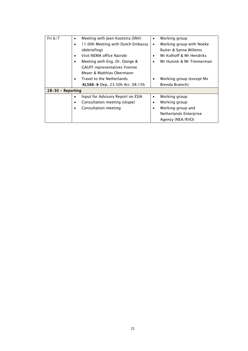| Fri $6/7$             | Meeting with Jeen Kootstra (SNV)       | $\bullet$ | Working group            |  |  |  |
|-----------------------|----------------------------------------|-----------|--------------------------|--|--|--|
|                       | 11.00h Meeting with Dutch Embassy      | $\bullet$ | Working group with Noeke |  |  |  |
|                       | (debriefing)                           |           | Ruiter & Sanne Willems   |  |  |  |
|                       | Visit NFMA office Nairobi              | ٠         | Mr Kolhoff & Mr Hendriks |  |  |  |
|                       | Meeting with Eng. Dr. Oonge &          | ٠         | Mr Hunink & Mr Timmerman |  |  |  |
|                       | <b>GAUFF representatives Yvonne</b>    |           |                          |  |  |  |
|                       | Meyer & Matthias Obermann              |           |                          |  |  |  |
|                       | Travel to the Netherlands              | $\bullet$ | Working group (except Ms |  |  |  |
|                       | <b>KL566 → Dep. 23.50h Arr. 08.15h</b> |           | Brenda Brainch)          |  |  |  |
| $28 - 30$ – Reporting |                                        |           |                          |  |  |  |
|                       | Input for Advisory Report on ESIA<br>٠ | $\bullet$ | Working group            |  |  |  |
|                       | Consultation meeting (skype)           | ٠         | Working group            |  |  |  |
|                       | Consultation meeting                   | $\bullet$ | Working group and        |  |  |  |
|                       |                                        |           | Netherlands Enterprise   |  |  |  |
|                       |                                        |           | Agency (NEA/RVO)         |  |  |  |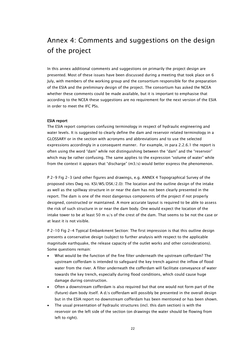## <span id="page-23-0"></span>Annex 4: Comments and suggestions on the design of the project

In this annex additional comments and suggestions on primarily the project design are presented. Most of these issues have been discussed during a meeting that took place on 6 July, with members of the working group and the consortium responsible for the preparation of the ESIA and the preliminary design of the project. The consortium has asked the NCEA whether these comments could be made available, but it is important to emphasise that according to the NCEA these suggestions are no requirement for the next version of the ESIA in order to meet the IFC PSs.

#### ESIA report

The ESIA report comprises confusing terminology in respect of hydraulic engineering and water levels. It is suggested to clearly define the dam and reservoir related terminology in a GLOSSARY or in the section with acronyms and abbreviations and to use the selected expressions accordingly in a consequent manner. For example, in para 2.2.6.1 the report is often using the word "dam" while not distinguishing between the "dam" and the "reservoir" which may be rather confusing. The same applies to the expression "volume of water" while from the context it appears that "discharge" (m3/s) would better express the phenomenon.

P 2-9 Fig 2-3 (and other figures and drawings, e.g. ANNEX 4 Topographical Survey of the proposed sites Dwg no. KSI/WS/DSK/2.0): The location and the outline design of the intake as well as the spillway structure in or near the dam has not been clearly presented in the report. The dam is one of the most dangerous components of the project if not properly designed, constructed or maintained. A more accurate layout is required to be able to assess the risk of such structure in or near the dam body. One would expect the location of the intake tower to be at least 50 m u/s of the crest of the dam. That seems to be not the case or at least it is not visible.

P 2-10 Fig 2-4 Typical Embankment Section: The first impression is that this outline design presents a conservative design (subject to further analysis with respect to the applicable magnitude earthquake, the release capacity of the outlet works and other considerations). Some questions remain:

- What would be the function of the fine filter underneath the upstream cofferdam? The upstream cofferdam is intended to safeguard the key trench against the inflow of flood water from the river. A filter underneath the cofferdam will facilitate conveyance of water towards the key trench, especially during flood conditions, which could cause huge damage during construction.
- Often a downstream cofferdam is also required but that one would not form part of the (future) dam body itself. A  $d/s$  cofferdam will possibly be presented in the overall design but in the ESIA report no downstream cofferdam has been mentioned or has been shown.
- The usual presentation of hydraulic structures (incl. this dam section) is with the reservoir on the left side of the section (on drawings the water should be flowing from left to right).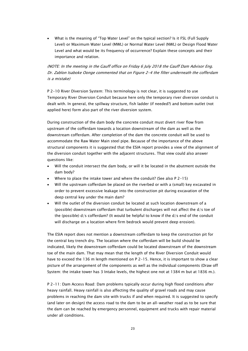• What is the meaning of "Top Water Level" on the typical section? Is it FSL (Full Supply Level) or Maximum Water Level (MWL) or Normal Water Level (NWL) or Design Flood Water Level and what would be its frequency of occurrence? Explain these concepts and their importance and relation.

## (NOTE: In the meeting in the Gauff office on Friday 6 July 2018 the Gauff Dam Advisor Eng. Dr. Zablon Isaboke Oonge commented that on Figure 2-4 the filter underneath the cofferdam is a mistake)

P 2-10 River Diversion System: This terminology is not clear, it is suggested to use Temporary River Diversion Conduit because here only the temporary river diversion conduit is dealt with. In general, the spillway structure, fish ladder (if needed?) and bottom outlet (not applied here) form also part of the river diversion system.

During construction of the dam body the concrete conduit must divert river flow from upstream of the cofferdam towards a location downstream of the dam as well as the downstream cofferdam. After completion of the dam the concrete conduit will be used to accommodate the Raw Water Main steel pipe. Because of the importance of the above structural components it is suggested that the ESIA report provides a view of the alignment of the diversion conduit together with the adjacent structures. That view could also answer questions like:

- Will the conduit intersect the dam body, or will it be located in the abutment outside the dam body?
- Where to place the intake tower and where the conduit? (See also  $P$  2-15)
- Will the upstream cofferdam be placed on the riverbed or with a (small) key excavated in order to prevent excessive leakage into the construction pit during excavation of the deep central key under the main dam?
- Will the outlet of the diversion conduit be located at such location downstream of a (possible) downstream cofferdam that turbulent discharges will not affect the d/s toe of the (possible) d/s cofferdam? (It would be helpful to know if the d/s end of the conduit will discharge on a location where firm bedrock would prevent deep erosion).

The ESIA report does not mention a downstream cofferdam to keep the construction pit for the central key trench dry. The location where the cofferdam will be build should be indicated, likely the downstream cofferdam could be located downstream of the downstream toe of the main dam. That may mean that the length of the River Diversion Conduit would have to exceed the 136 m length mentioned on P 2-15. Hence, it is important to show a clear picture of the arrangement of the components as well as the individual components (Draw off System: the intake tower has 3 Intake levels, the highest one not at 1384 m but at 1836 m.).

P 2-11: Dam Access Road: Dam problems typically occur during high flood conditions after heavy rainfall. Heavy rainfall is also affecting the quality of gravel roads and may cause problems in reaching the dam site with trucks if and when required. It is suggested to specify (and later on design) the access road to the dam to be an all-weather road as to be sure that the dam can be reached by emergency personnel, equipment and trucks with repair material under all conditions.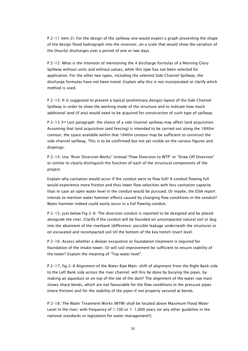P 2-11 item 2): For the design of the spillway one would expect a graph presenting the shape of the design flood hydrograph into the reservoir, on a scale that would show the variation of the (hourly) discharges over a period of one or two days.

P 2-12: What is the intention of mentioning the 4 discharge formulas of a Morning Glory Spillway without units and without values, while this type has not been selected for application. For the other two types, including the selected Side Channel Spillway, the discharge formulas have not been noted. Explain why this is not incorporated or clarify which method is used.

P 2-13: It is suggested to present a typical (preliminary design) layout of the Side Channel Spillway in order to show the working mode of the structure and to indicate how much additional land (if any) would need to be acquired for construction of such type of spillway.

P 2-13 3rd Last paragraph: the choice of a side channel spillway may affect land acquisition. Assuming that land acquisition (and fencing) is intended to be carried out along the 1840m contour, the space available within that 1840m contour may be sufficient to construct the side channel spillway. This is to be confirmed but not yet visible on the various figures and drawings.

P 2-14: Use "River Diversion Works" instead "Flow Diversion to WTP" or "Draw Off Diversion" or similar to clearly distinguish the function of each of the structural components of the project.

Explain why cavitation would occur if the conduit were to flow full? A conduit flowing full would experience more friction and thus lower flow velocities with less cavitation capacity than in case an open water level in the conduit would be pursued. Or maybe, the ESIA report intends to mention water hammer effects caused by changing flow conditions in the conduit? Water hammer indeed could easily occur in a full flowing conduit.

P 2-15, just below Fig 2-6: The diversion conduit is reported to be designed and be placed alongside the river. Clarify if the conduit will be founded on uncompacted natural soil or dug into the abutment of the riverbank (difference: possible leakage underneath the structure) or on excavated and recompacted soil till the bottom of the key trench invert level.

P 2-16: Assess whether a deeper excavation or foundation treatment is required for foundation of the intake tower. Or will soil improvement be sufficient to ensure stability of the tower? Explain the meaning of "Top water level".

P 2-17, fig 2-8 Alignment of the Water Raw Main: shift of alignment from the Right Bank side to the Left Bank side across the river channel: will this be done by burying the pipes, by making an aqueduct or on top of the toe of the dam? The alignment of the water raw main shows sharp bends, which are not favourable for the flow conditions in the pressure pipes (more friction) and for the stability of the pipes if not properly secured at bends.

P 2-18: The Water Treatment Works (WTW) shall be located above Maximum Flood Water Level in the river, with frequency of 1:100 or 1: 1,000 years (or any other guideline in the national standards or legislation for water management?).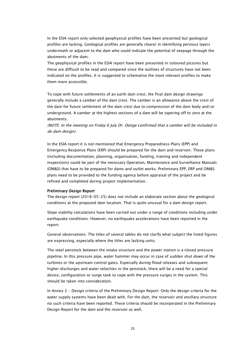In the ESIA report only selected geophysical profiles have been presented but geological profiles are lacking. Geological profiles are generally clearer in identifying pervious layers underneath or adjacent to the dam who could indicate the potential of seepage through the abutments of the dam.

The geophysical profiles in the ESIA report have been presented in coloured pictures but these are difficult to be read and compared since the outlines of structures have not been indicated on the profiles. It is suggested to schematise the most relevant profiles to make them more accessible.

To cope with future settlements of an earth dam crest, the final dam design drawings generally include a camber of the dam crest. The camber is an allowance above the crest of the dam for future settlement of the dam crest due to compression of the dam body and/or underground. A camber at the highest sections of a dam will be tapering off to zero at the abutments.

(NOTE: In the meeting on Friday 6 July Dr. Oonge confirmed that a camber will be included in de dam design)

In the ESIA report it is not mentioned that Emergency Preparedness Plans (EPP) and Emergency Response Plans (ERP) should be prepared for the dam and reservoir. These plans (including documentation, planning, organisation, funding, training and independent inspections) could be part of the necessary Operation, Maintenance and Surveillance Manuals (OM&S) that have to be prepared for dams and outlet works. Preliminary EPP, ERP and OM&S plans need to be provided to the funding agency before appraisal of the project and be refined and completed during project implementation.

#### Preliminary Design Report

The design report (2018-05-25) does not include an elaborate section about the geological conditions at the proposed dam location. That is quite unusual for a dam design report.

Slope stability calculations have been carried out under a range of conditions including under earthquake conditions. However, no earthquake accelerations have been reported in the report.

General observations: The titles of several tables do not clarify what subject the listed figures are expressing, especially where the titles are lacking units.

The steel penstock between the intake structure and the power station is a closed pressure pipeline. In this pressure pipe, water hammer may occur in case of sudden shut down of the turbines or the upstream control gates. Especially during flood releases and subsequent higher discharges and water velocities in the penstock, there will be a need for a special device, configuration or surge tank to cope with the pressure surges in the system. This should be taken into consideration.

In Annex 2 - Design criteria of the Preliminary Design Report: Only the design criteria for the water supply systems have been dealt with. For the dam, the reservoir and ancillary structure no such criteria have been reported. These criteria should be incorporated in the Preliminary Design Report for the dam and the reservoir as well.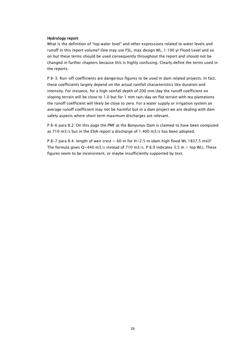#### Hydrology report

What is the definition of "top water level" and other expressions related to water levels and runoff in this report volume? One may use FSL, max design WL, 1:100 yr Flood Level and so on but these terms should be used consequently throughout the report and should not be changed in further chapters because this is highly confusing. Clearly define the terms used in the reports.

P 8-3: Run-off coefficients are dangerous figures to be used in dam related projects. In fact, these coefficients largely depend on the actual rainfall characteristics like duration and intensity. For instance, for a high rainfall depth of 200 mm/day the runoff coefficient on sloping terrain will be close to 1.0 but for 1 mm rain/day on flat terrain with tea plantations the runoff coefficient will likely be close to zero. For a water supply or irrigation system an average runoff coefficient may not be harmful but in a dam project we are dealing with dam safety aspects where short term maximum discharges are relevant.

P 8-6 para 8.2: On this page the PMF at the Bonyunyu Dam is claimed to have been computed as 710 m3/s but in the ESIA report a discharge of 1.400 m3/s has been adopted.

P 8-7 para 8.4: length of weir crest  $= 60$  m for H $=$ 2.5 m (dam high flood WL 1837.5 msl)? The formula gives  $Q=440$  m3/s instead of 710 m3/s. P 8.9 indicates 3.5 m + top WL). These figures seem to be inconsistent, or maybe insufficiently supported by text.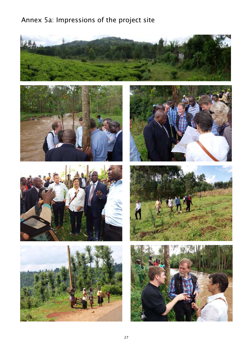# Annex 5a: Impressions of the project site